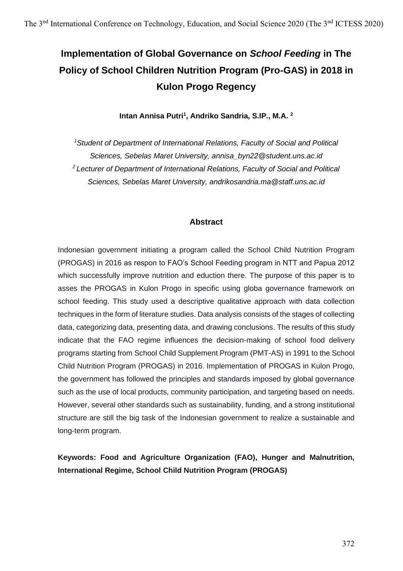# **Implementation of Global Governance on** *School Feeding* **in The Policy of School Children Nutrition Program (Pro-GAS) in 2018 in Kulon Progo Regency**

**Intan Annisa Putri<sup>1</sup> , Andriko Sandria, S.IP., M.A. <sup>2</sup>**

*<sup>1</sup>Student of Department of International Relations, Faculty of Social and Political Sciences, Sebelas Maret University, annisa\_byn22@student.uns.ac.id <sup>2</sup>Lecturer of Department of International Relations, Faculty of Social and Political Sciences, Sebelas Maret University, andrikosandria.ma@staff.uns.ac.id*

#### **Abstract**

Indonesian government initiating a program called the School Child Nutrition Program (PROGAS) in 2016 as respon to FAO's School Feeding program in NTT and Papua 2012 which successfully improve nutrition and eduction there. The purpose of this paper is to asses the PROGAS in Kulon Progo in specific using globa governance framework on school feeding. This study used a descriptive qualitative approach with data collection techniques in the form of literature studies. Data analysis consists of the stages of collecting data, categorizing data, presenting data, and drawing conclusions. The results of this study indicate that the FAO regime influences the decision-making of school food delivery programs starting from School Child Supplement Program (PMT-AS) in 1991 to the School Child Nutrition Program (PROGAS) in 2016. Implementation of PROGAS in Kulon Progo, the government has followed the principles and standards imposed by global governance such as the use of local products, community participation, and targeting based on needs. However, several other standards such as sustainability, funding, and a strong institutional structure are still the big task of the Indonesian government to realize a sustainable and long-term program.

**Keywords: Food and Agriculture Organization (FAO), Hunger and Malnutrition, International Regime, School Child Nutrition Program (PROGAS)**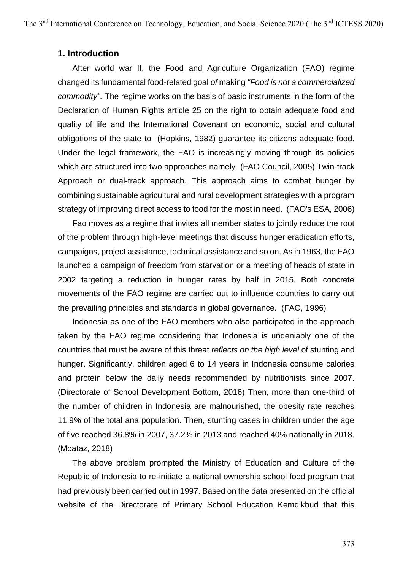#### **1. Introduction**

After world war II, the Food and Agriculture Organization (FAO) regime changed its fundamental food-related goal *of* making *"Food is not a commercialized commodity".* The regime works on the basis of basic instruments in the form of the Declaration of Human Rights article 25 on the right to obtain adequate food and quality of life and the International Covenant on economic, social and cultural obligations of the state to (Hopkins, 1982) guarantee its citizens adequate food. Under the legal framework, the FAO is increasingly moving through its policies which are structured into two approaches namely (FAO Council, 2005) Twin-track Approach or dual-track approach. This approach aims to combat hunger by combining sustainable agricultural and rural development strategies with a program strategy of improving direct access to food for the most in need. (FAO's ESA, 2006)

Fao moves as a regime that invites all member states to jointly reduce the root of the problem through high-level meetings that discuss hunger eradication efforts, campaigns, project assistance, technical assistance and so on. As in 1963, the FAO launched a campaign of freedom from starvation or a meeting of heads of state in 2002 targeting a reduction in hunger rates by half in 2015. Both concrete movements of the FAO regime are carried out to influence countries to carry out the prevailing principles and standards in global governance. (FAO, 1996)

Indonesia as one of the FAO members who also participated in the approach taken by the FAO regime considering that Indonesia is undeniably one of the countries that must be aware of this threat *reflects on the high level* of stunting and hunger. Significantly, children aged 6 to 14 years in Indonesia consume calories and protein below the daily needs recommended by nutritionists since 2007. (Directorate of School Development Bottom, 2016) Then, more than one-third of the number of children in Indonesia are malnourished, the obesity rate reaches 11.9% of the total ana population. Then, stunting cases in children under the age of five reached 36.8% in 2007, 37.2% in 2013 and reached 40% nationally in 2018. (Moataz, 2018)

The above problem prompted the Ministry of Education and Culture of the Republic of Indonesia to re-initiate a national ownership school food program that had previously been carried out in 1997. Based on the data presented on the official website of the Directorate of Primary School Education Kemdikbud that this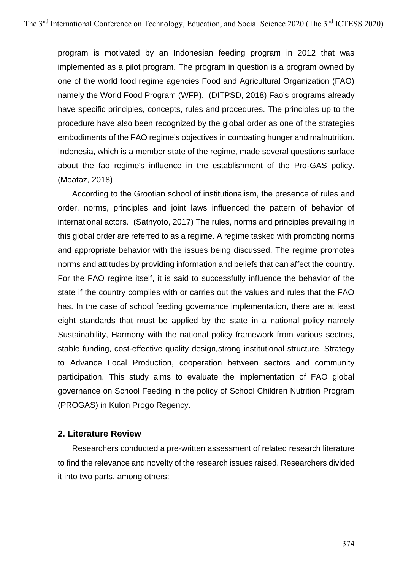program is motivated by an Indonesian feeding program in 2012 that was implemented as a pilot program. The program in question is a program owned by one of the world food regime agencies Food and Agricultural Organization (FAO) namely the World Food Program (WFP). (DITPSD, 2018) Fao's programs already have specific principles, concepts, rules and procedures. The principles up to the procedure have also been recognized by the global order as one of the strategies embodiments of the FAO regime's objectives in combating hunger and malnutrition. Indonesia, which is a member state of the regime, made several questions surface about the fao regime's influence in the establishment of the Pro-GAS policy. (Moataz, 2018)

According to the Grootian school of institutionalism, the presence of rules and order, norms, principles and joint laws influenced the pattern of behavior of international actors. (Satnyoto, 2017) The rules, norms and principles prevailing in this global order are referred to as a regime. A regime tasked with promoting norms and appropriate behavior with the issues being discussed. The regime promotes norms and attitudes by providing information and beliefs that can affect the country. For the FAO regime itself, it is said to successfully influence the behavior of the state if the country complies with or carries out the values and rules that the FAO has. In the case of school feeding governance implementation, there are at least eight standards that must be applied by the state in a national policy namely Sustainability, Harmony with the national policy framework from various sectors, stable funding, cost-effective quality design*,*strong institutional structure, Strategy to Advance Local Production, cooperation between sectors and community participation. This study aims to evaluate the implementation of FAO global governance on School Feeding in the policy of School Children Nutrition Program (PROGAS) in Kulon Progo Regency.

### **2. Literature Review**

Researchers conducted a pre-written assessment of related research literature to find the relevance and novelty of the research issues raised. Researchers divided it into two parts, among others: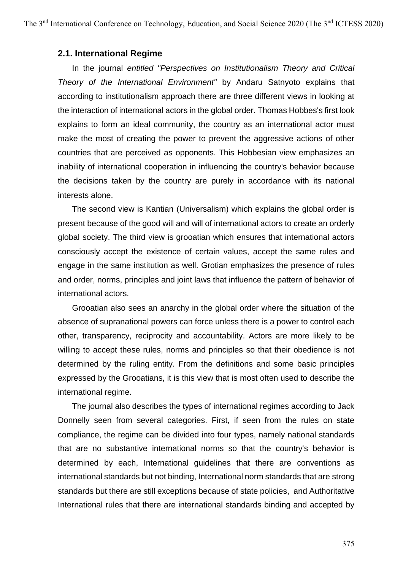#### **2.1. International Regime**

In the journal *entitled "Perspectives on Institutionalism Theory and Critical Theory of the International Environment"* by Andaru Satnyoto explains that according to institutionalism approach there are three different views in looking at the interaction of international actors in the global order. Thomas Hobbes's first look explains to form an ideal community, the country as an international actor must make the most of creating the power to prevent the aggressive actions of other countries that are perceived as opponents. This Hobbesian view emphasizes an inability of international cooperation in influencing the country's behavior because the decisions taken by the country are purely in accordance with its national interests alone.

The second view is Kantian (Universalism) which explains the global order is present because of the good will and will of international actors to create an orderly global society. The third view is grooatian which ensures that international actors consciously accept the existence of certain values, accept the same rules and engage in the same institution as well. Grotian emphasizes the presence of rules and order, norms, principles and joint laws that influence the pattern of behavior of international actors.

Grooatian also sees an anarchy in the global order where the situation of the absence of supranational powers can force unless there is a power to control each other, transparency, reciprocity and accountability. Actors are more likely to be willing to accept these rules, norms and principles so that their obedience is not determined by the ruling entity. From the definitions and some basic principles expressed by the Grooatians, it is this view that is most often used to describe the international regime.

The journal also describes the types of international regimes according to Jack Donnelly seen from several categories. First, if seen from the rules on state compliance, the regime can be divided into four types, namely national standards that are no substantive international norms so that the country's behavior is determined by each, International guidelines that there are conventions as international standards but not binding, International norm standards that are strong standards but there are still exceptions because of state policies, and Authoritative International rules that there are international standards binding and accepted by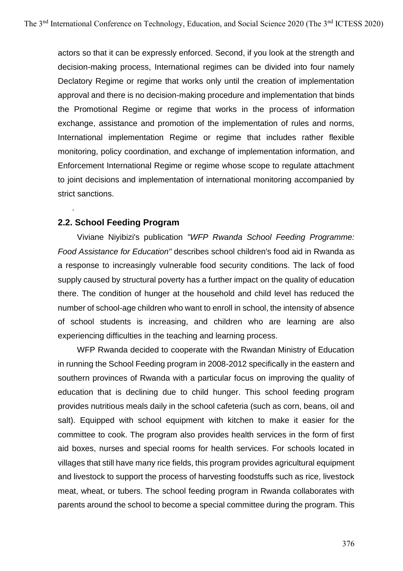actors so that it can be expressly enforced. Second, if you look at the strength and decision-making process, International regimes can be divided into four namely Declatory Regime or regime that works only until the creation of implementation approval and there is no decision-making procedure and implementation that binds the Promotional Regime or regime that works in the process of information exchange, assistance and promotion of the implementation of rules and norms, International implementation Regime or regime that includes rather flexible monitoring, policy coordination, and exchange of implementation information, and Enforcement International Regime or regime whose scope to regulate attachment to joint decisions and implementation of international monitoring accompanied by strict sanctions.

# **2.2. School Feeding Program**

.

Viviane Niyibizi's publication *"WFP Rwanda School Feeding Programme: Food Assistance for Education"* describes school children's food aid in Rwanda as a response to increasingly vulnerable food security conditions. The lack of food supply caused by structural poverty has a further impact on the quality of education there. The condition of hunger at the household and child level has reduced the number of school-age children who want to enroll in school, the intensity of absence of school students is increasing, and children who are learning are also experiencing difficulties in the teaching and learning process.

WFP Rwanda decided to cooperate with the Rwandan Ministry of Education in running the School Feeding program in 2008-2012 specifically in the eastern and southern provinces of Rwanda with a particular focus on improving the quality of education that is declining due to child hunger. This school feeding program provides nutritious meals daily in the school cafeteria (such as corn, beans, oil and salt). Equipped with school equipment with kitchen to make it easier for the committee to cook. The program also provides health services in the form of first aid boxes, nurses and special rooms for health services. For schools located in villages that still have many rice fields, this program provides agricultural equipment and livestock to support the process of harvesting foodstuffs such as rice, livestock meat, wheat, or tubers. The school feeding program in Rwanda collaborates with parents around the school to become a special committee during the program. This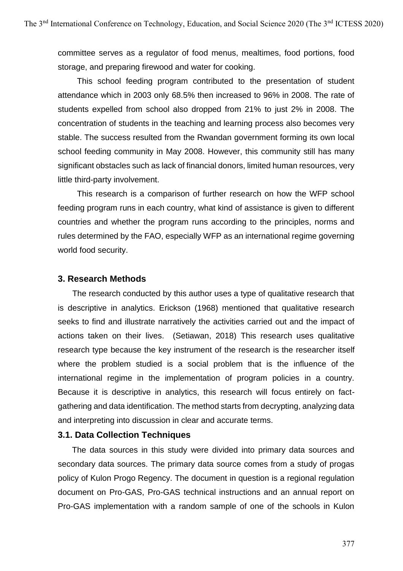committee serves as a regulator of food menus, mealtimes, food portions, food storage, and preparing firewood and water for cooking.

This school feeding program contributed to the presentation of student attendance which in 2003 only 68.5% then increased to 96% in 2008. The rate of students expelled from school also dropped from 21% to just 2% in 2008. The concentration of students in the teaching and learning process also becomes very stable. The success resulted from the Rwandan government forming its own local school feeding community in May 2008. However, this community still has many significant obstacles such as lack of financial donors, limited human resources, very little third-party involvement.

This research is a comparison of further research on how the WFP school feeding program runs in each country, what kind of assistance is given to different countries and whether the program runs according to the principles, norms and rules determined by the FAO, especially WFP as an international regime governing world food security.

#### **3. Research Methods**

The research conducted by this author uses a type of qualitative research that is descriptive in analytics. Erickson (1968) mentioned that qualitative research seeks to find and illustrate narratively the activities carried out and the impact of actions taken on their lives. (Setiawan, 2018) This research uses qualitative research type because the key instrument of the research is the researcher itself where the problem studied is a social problem that is the influence of the international regime in the implementation of program policies in a country. Because it is descriptive in analytics, this research will focus entirely on factgathering and data identification. The method starts from decrypting, analyzing data and interpreting into discussion in clear and accurate terms.

### **3.1. Data Collection Techniques**

The data sources in this study were divided into primary data sources and secondary data sources. The primary data source comes from a study of progas policy of Kulon Progo Regency. The document in question is a regional regulation document on Pro-GAS, Pro-GAS technical instructions and an annual report on Pro-GAS implementation with a random sample of one of the schools in Kulon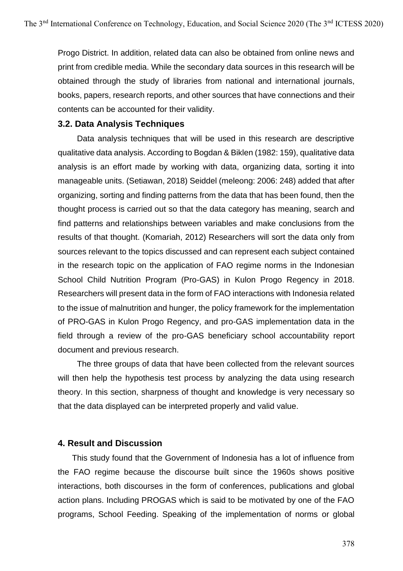Progo District. In addition, related data can also be obtained from online news and print from credible media. While the secondary data sources in this research will be obtained through the study of libraries from national and international journals, books, papers, research reports, and other sources that have connections and their contents can be accounted for their validity.

#### **3.2. Data Analysis Techniques**

Data analysis techniques that will be used in this research are descriptive qualitative data analysis. According to Bogdan & Biklen (1982: 159), qualitative data analysis is an effort made by working with data, organizing data, sorting it into manageable units. (Setiawan, 2018) Seiddel (meleong: 2006: 248) added that after organizing, sorting and finding patterns from the data that has been found, then the thought process is carried out so that the data category has meaning, search and find patterns and relationships between variables and make conclusions from the results of that thought. (Komariah, 2012) Researchers will sort the data only from sources relevant to the topics discussed and can represent each subject contained in the research topic on the application of FAO regime norms in the Indonesian School Child Nutrition Program (Pro-GAS) in Kulon Progo Regency in 2018. Researchers will present data in the form of FAO interactions with Indonesia related to the issue of malnutrition and hunger, the policy framework for the implementation of PRO-GAS in Kulon Progo Regency, and pro-GAS implementation data in the field through a review of the pro-GAS beneficiary school accountability report document and previous research.

The three groups of data that have been collected from the relevant sources will then help the hypothesis test process by analyzing the data using research theory. In this section, sharpness of thought and knowledge is very necessary so that the data displayed can be interpreted properly and valid value.

### **4. Result and Discussion**

This study found that the Government of Indonesia has a lot of influence from the FAO regime because the discourse built since the 1960s shows positive interactions, both discourses in the form of conferences, publications and global action plans. Including PROGAS which is said to be motivated by one of the FAO programs, School Feeding. Speaking of the implementation of norms or global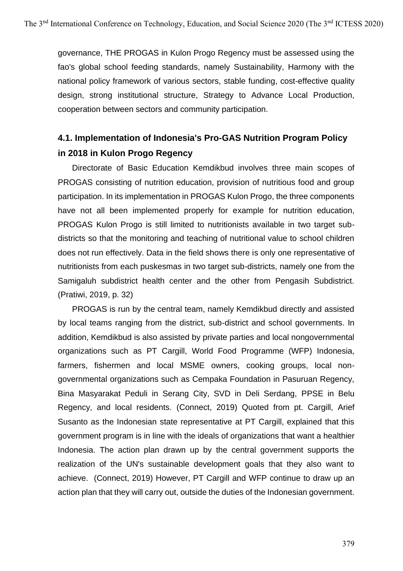governance, THE PROGAS in Kulon Progo Regency must be assessed using the fao's global school feeding standards, namely Sustainability, Harmony with the national policy framework of various sectors, stable funding, cost-effective quality design, strong institutional structure, Strategy to Advance Local Production, cooperation between sectors and community participation.

# **4.1. Implementation of Indonesia's Pro-GAS Nutrition Program Policy in 2018 in Kulon Progo Regency**

Directorate of Basic Education Kemdikbud involves three main scopes of PROGAS consisting of nutrition education, provision of nutritious food and group participation. In its implementation in PROGAS Kulon Progo, the three components have not all been implemented properly for example for nutrition education, PROGAS Kulon Progo is still limited to nutritionists available in two target subdistricts so that the monitoring and teaching of nutritional value to school children does not run effectively. Data in the field shows there is only one representative of nutritionists from each puskesmas in two target sub-districts, namely one from the Samigaluh subdistrict health center and the other from Pengasih Subdistrict. (Pratiwi, 2019, p. 32)

PROGAS is run by the central team, namely Kemdikbud directly and assisted by local teams ranging from the district, sub-district and school governments. In addition, Kemdikbud is also assisted by private parties and local nongovernmental organizations such as PT Cargill, World Food Programme (WFP) Indonesia, farmers, fishermen and local MSME owners, cooking groups, local nongovernmental organizations such as Cempaka Foundation in Pasuruan Regency, Bina Masyarakat Peduli in Serang City, SVD in Deli Serdang, PPSE in Belu Regency, and local residents. (Connect, 2019) Quoted from pt. Cargill, Arief Susanto as the Indonesian state representative at PT Cargill, explained that this government program is in line with the ideals of organizations that want a healthier Indonesia. The action plan drawn up by the central government supports the realization of the UN's sustainable development goals that they also want to achieve. (Connect, 2019) However, PT Cargill and WFP continue to draw up an action plan that they will carry out, outside the duties of the Indonesian government.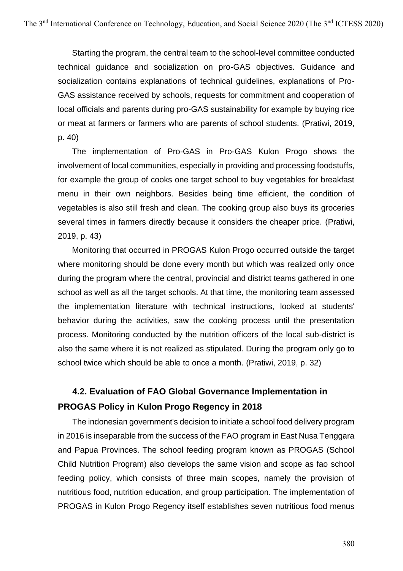Starting the program, the central team to the school-level committee conducted technical guidance and socialization on pro-GAS objectives. Guidance and socialization contains explanations of technical guidelines, explanations of Pro-GAS assistance received by schools, requests for commitment and cooperation of local officials and parents during pro-GAS sustainability for example by buying rice or meat at farmers or farmers who are parents of school students. (Pratiwi, 2019, p. 40)

The implementation of Pro-GAS in Pro-GAS Kulon Progo shows the involvement of local communities, especially in providing and processing foodstuffs, for example the group of cooks one target school to buy vegetables for breakfast menu in their own neighbors. Besides being time efficient, the condition of vegetables is also still fresh and clean. The cooking group also buys its groceries several times in farmers directly because it considers the cheaper price. (Pratiwi, 2019, p. 43)

Monitoring that occurred in PROGAS Kulon Progo occurred outside the target where monitoring should be done every month but which was realized only once during the program where the central, provincial and district teams gathered in one school as well as all the target schools. At that time, the monitoring team assessed the implementation literature with technical instructions, looked at students' behavior during the activities, saw the cooking process until the presentation process. Monitoring conducted by the nutrition officers of the local sub-district is also the same where it is not realized as stipulated. During the program only go to school twice which should be able to once a month. (Pratiwi, 2019, p. 32)

# **4.2. Evaluation of FAO Global Governance Implementation in PROGAS Policy in Kulon Progo Regency in 2018**

The indonesian government's decision to initiate a school food delivery program in 2016 is inseparable from the success of the FAO program in East Nusa Tenggara and Papua Provinces. The school feeding program known as PROGAS (School Child Nutrition Program) also develops the same vision and scope as fao school feeding policy, which consists of three main scopes, namely the provision of nutritious food, nutrition education, and group participation. The implementation of PROGAS in Kulon Progo Regency itself establishes seven nutritious food menus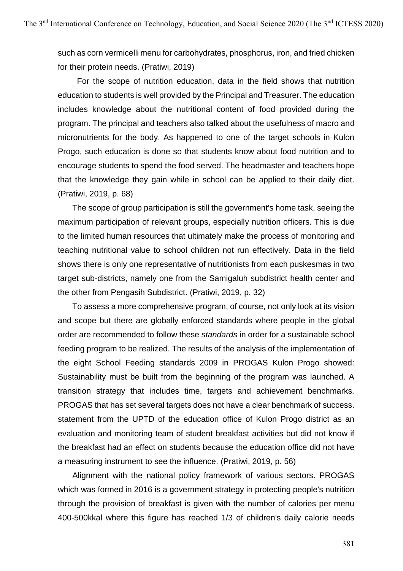such as corn vermicelli menu for carbohydrates, phosphorus, iron, and fried chicken for their protein needs. (Pratiwi, 2019)

For the scope of nutrition education, data in the field shows that nutrition education to students is well provided by the Principal and Treasurer. The education includes knowledge about the nutritional content of food provided during the program. The principal and teachers also talked about the usefulness of macro and micronutrients for the body. As happened to one of the target schools in Kulon Progo, such education is done so that students know about food nutrition and to encourage students to spend the food served. The headmaster and teachers hope that the knowledge they gain while in school can be applied to their daily diet. (Pratiwi, 2019, p. 68)

The scope of group participation is still the government's home task, seeing the maximum participation of relevant groups, especially nutrition officers. This is due to the limited human resources that ultimately make the process of monitoring and teaching nutritional value to school children not run effectively. Data in the field shows there is only one representative of nutritionists from each puskesmas in two target sub-districts, namely one from the Samigaluh subdistrict health center and the other from Pengasih Subdistrict. (Pratiwi, 2019, p. 32)

To assess a more comprehensive program, of course, not only look at its vision and scope but there are globally enforced standards where people in the global order are recommended to follow these *standards* in order for a sustainable school feeding program to be realized. The results of the analysis of the implementation of the eight School Feeding standards 2009 in PROGAS Kulon Progo showed: Sustainability must be built from the beginning of the program was launched. A transition strategy that includes time, targets and achievement benchmarks. PROGAS that has set several targets does not have a clear benchmark of success. statement from the UPTD of the education office of Kulon Progo district as an evaluation and monitoring team of student breakfast activities but did not know if the breakfast had an effect on students because the education office did not have a measuring instrument to see the influence. (Pratiwi, 2019, p. 56)

Alignment with the national policy framework of various sectors. PROGAS which was formed in 2016 is a government strategy in protecting people's nutrition through the provision of breakfast is given with the number of calories per menu 400-500kkal where this figure has reached 1/3 of children's daily calorie needs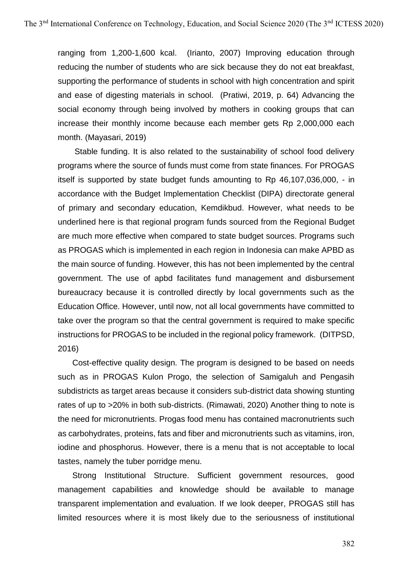ranging from 1,200-1,600 kcal. (Irianto, 2007) Improving education through reducing the number of students who are sick because they do not eat breakfast, supporting the performance of students in school with high concentration and spirit and ease of digesting materials in school. (Pratiwi, 2019, p. 64) Advancing the social economy through being involved by mothers in cooking groups that can increase their monthly income because each member gets Rp 2,000,000 each month. (Mayasari, 2019)

Stable funding. It is also related to the sustainability of school food delivery programs where the source of funds must come from state finances. For PROGAS itself is supported by state budget funds amounting to Rp 46,107,036,000, - in accordance with the Budget Implementation Checklist (DIPA) directorate general of primary and secondary education, Kemdikbud. However, what needs to be underlined here is that regional program funds sourced from the Regional Budget are much more effective when compared to state budget sources. Programs such as PROGAS which is implemented in each region in Indonesia can make APBD as the main source of funding. However, this has not been implemented by the central government. The use of apbd facilitates fund management and disbursement bureaucracy because it is controlled directly by local governments such as the Education Office. However, until now, not all local governments have committed to take over the program so that the central government is required to make specific instructions for PROGAS to be included in the regional policy framework. (DITPSD, 2016)

Cost-effective quality design*.* The program is designed to be based on needs such as in PROGAS Kulon Progo, the selection of Samigaluh and Pengasih subdistricts as target areas because it considers sub-district data showing stunting rates of up to >20% in both sub-districts. (Rimawati, 2020) Another thing to note is the need for micronutrients. Progas food menu has contained macronutrients such as carbohydrates, proteins, fats and fiber and micronutrients such as vitamins, iron, iodine and phosphorus. However, there is a menu that is not acceptable to local tastes, namely the tuber porridge menu.

Strong Institutional Structure. Sufficient government resources, good management capabilities and knowledge should be available to manage transparent implementation and evaluation. If we look deeper, PROGAS still has limited resources where it is most likely due to the seriousness of institutional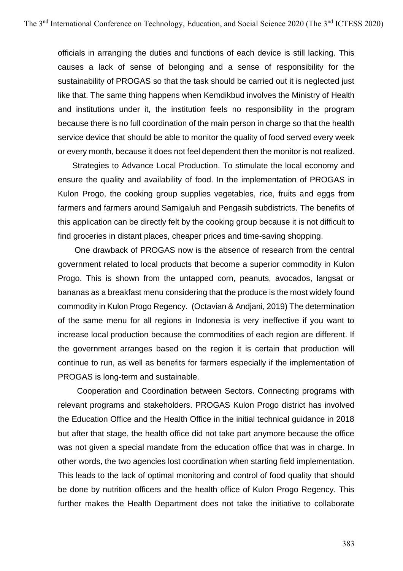officials in arranging the duties and functions of each device is still lacking. This causes a lack of sense of belonging and a sense of responsibility for the sustainability of PROGAS so that the task should be carried out it is neglected just like that. The same thing happens when Kemdikbud involves the Ministry of Health and institutions under it, the institution feels no responsibility in the program because there is no full coordination of the main person in charge so that the health service device that should be able to monitor the quality of food served every week or every month, because it does not feel dependent then the monitor is not realized.

Strategies to Advance Local Production. To stimulate the local economy and ensure the quality and availability of food. In the implementation of PROGAS in Kulon Progo, the cooking group supplies vegetables, rice, fruits and eggs from farmers and farmers around Samigaluh and Pengasih subdistricts. The benefits of this application can be directly felt by the cooking group because it is not difficult to find groceries in distant places, cheaper prices and time-saving shopping.

One drawback of PROGAS now is the absence of research from the central government related to local products that become a superior commodity in Kulon Progo. This is shown from the untapped corn, peanuts, avocados, langsat or bananas as a breakfast menu considering that the produce is the most widely found commodity in Kulon Progo Regency. (Octavian & Andjani, 2019) The determination of the same menu for all regions in Indonesia is very ineffective if you want to increase local production because the commodities of each region are different. If the government arranges based on the region it is certain that production will continue to run, as well as benefits for farmers especially if the implementation of PROGAS is long-term and sustainable.

Cooperation and Coordination between Sectors. Connecting programs with relevant programs and stakeholders. PROGAS Kulon Progo district has involved the Education Office and the Health Office in the initial technical guidance in 2018 but after that stage, the health office did not take part anymore because the office was not given a special mandate from the education office that was in charge. In other words, the two agencies lost coordination when starting field implementation. This leads to the lack of optimal monitoring and control of food quality that should be done by nutrition officers and the health office of Kulon Progo Regency. This further makes the Health Department does not take the initiative to collaborate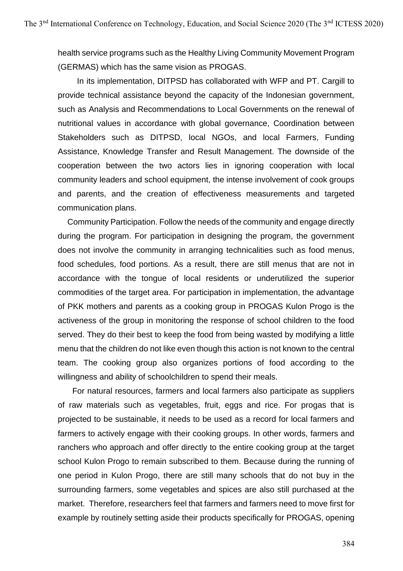health service programs such as the Healthy Living Community Movement Program (GERMAS) which has the same vision as PROGAS.

In its implementation, DITPSD has collaborated with WFP and PT. Cargill to provide technical assistance beyond the capacity of the Indonesian government, such as Analysis and Recommendations to Local Governments on the renewal of nutritional values in accordance with global governance, Coordination between Stakeholders such as DITPSD, local NGOs, and local Farmers, Funding Assistance, Knowledge Transfer and Result Management. The downside of the cooperation between the two actors lies in ignoring cooperation with local community leaders and school equipment, the intense involvement of cook groups and parents, and the creation of effectiveness measurements and targeted communication plans.

Community Participation. Follow the needs of the community and engage directly during the program. For participation in designing the program, the government does not involve the community in arranging technicalities such as food menus, food schedules, food portions. As a result, there are still menus that are not in accordance with the tongue of local residents or underutilized the superior commodities of the target area. For participation in implementation, the advantage of PKK mothers and parents as a cooking group in PROGAS Kulon Progo is the activeness of the group in monitoring the response of school children to the food served. They do their best to keep the food from being wasted by modifying a little menu that the children do not like even though this action is not known to the central team. The cooking group also organizes portions of food according to the willingness and ability of schoolchildren to spend their meals.

For natural resources, farmers and local farmers also participate as suppliers of raw materials such as vegetables, fruit, eggs and rice. For progas that is projected to be sustainable, it needs to be used as a record for local farmers and farmers to actively engage with their cooking groups. In other words, farmers and ranchers who approach and offer directly to the entire cooking group at the target school Kulon Progo to remain subscribed to them. Because during the running of one period in Kulon Progo, there are still many schools that do not buy in the surrounding farmers, some vegetables and spices are also still purchased at the market. Therefore, researchers feel that farmers and farmers need to move first for example by routinely setting aside their products specifically for PROGAS, opening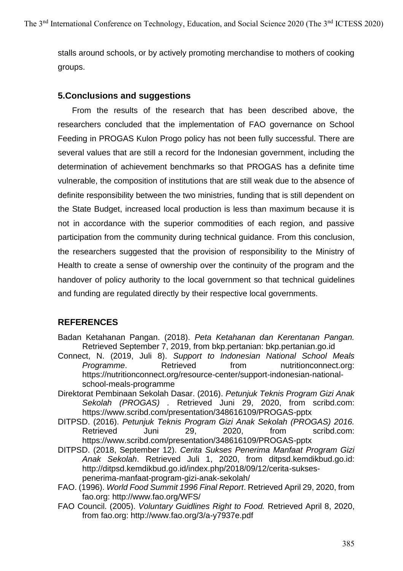stalls around schools, or by actively promoting merchandise to mothers of cooking groups.

# **5.Conclusions and suggestions**

From the results of the research that has been described above, the researchers concluded that the implementation of FAO governance on School Feeding in PROGAS Kulon Progo policy has not been fully successful. There are several values that are still a record for the Indonesian government, including the determination of achievement benchmarks so that PROGAS has a definite time vulnerable, the composition of institutions that are still weak due to the absence of definite responsibility between the two ministries, funding that is still dependent on the State Budget, increased local production is less than maximum because it is not in accordance with the superior commodities of each region, and passive participation from the community during technical guidance. From this conclusion, the researchers suggested that the provision of responsibility to the Ministry of Health to create a sense of ownership over the continuity of the program and the handover of policy authority to the local government so that technical guidelines and funding are regulated directly by their respective local governments.

# **REFERENCES**

- Badan Ketahanan Pangan. (2018). *Peta Ketahanan dan Kerentanan Pangan.* Retrieved September 7, 2019, from bkp.pertanian: bkp.pertanian.go.id
- Connect, N. (2019, Juli 8). *Support to Indonesian National School Meals*  **Programme.** Retrieved from nutritionconnect.org: https://nutritionconnect.org/resource-center/support-indonesian-nationalschool-meals-programme
- Direktorat Pembinaan Sekolah Dasar. (2016). *Petunjuk Teknis Program Gizi Anak Sekolah (PROGAS) .* Retrieved Juni 29, 2020, from scribd.com: https://www.scribd.com/presentation/348616109/PROGAS-pptx
- DITPSD. (2016). *Petunjuk Teknis Program Gizi Anak Sekolah (PROGAS) 2016.* Retrieved Juni 29, 2020, from scribd.com: https://www.scribd.com/presentation/348616109/PROGAS-pptx
- DITPSD. (2018, September 12). *Cerita Sukses Penerima Manfaat Program Gizi Anak Sekolah*. Retrieved Juli 1, 2020, from ditpsd.kemdikbud.go.id: http://ditpsd.kemdikbud.go.id/index.php/2018/09/12/cerita-suksespenerima-manfaat-program-gizi-anak-sekolah/
- FAO. (1996). *World Food Summit 1996 Final Report*. Retrieved April 29, 2020, from fao.org: http://www.fao.org/WFS/
- FAO Council. (2005). *Voluntary Guidlines Right to Food.* Retrieved April 8, 2020, from fao.org: http://www.fao.org/3/a-y7937e.pdf